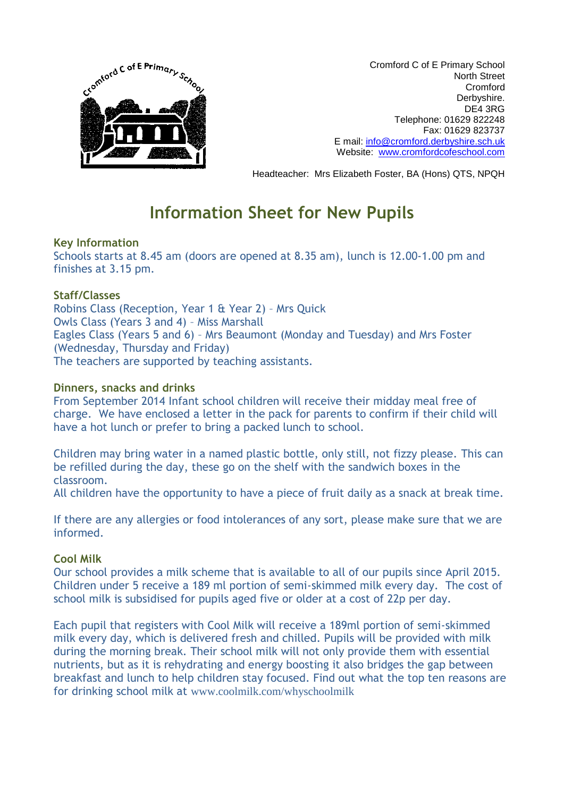

Cromford C of E Primary School North Street **Cromford** Derbyshire. DE4 3RG Telephone: 01629 822248 Fax: 01629 823737 E mail: [info@cromford.derbyshire.sch.uk](mailto:info@cromford.derbyshire.sch.uk) Website: [www.cromfordcofeschool.com](http://www.cromfordcofeschool.com/)

Headteacher: Mrs Elizabeth Foster, BA (Hons) QTS, NPQH

# **Information Sheet for New Pupils**

## **Key Information**

Schools starts at 8.45 am (doors are opened at 8.35 am), lunch is 12.00-1.00 pm and finishes at 3.15 pm.

# **Staff/Classes**

Robins Class (Reception, Year 1 & Year 2) – Mrs Quick Owls Class (Years 3 and 4) – Miss Marshall Eagles Class (Years 5 and 6) – Mrs Beaumont (Monday and Tuesday) and Mrs Foster (Wednesday, Thursday and Friday) The teachers are supported by teaching assistants.

# **Dinners, snacks and drinks**

From September 2014 Infant school children will receive their midday meal free of charge. We have enclosed a letter in the pack for parents to confirm if their child will have a hot lunch or prefer to bring a packed lunch to school.

Children may bring water in a named plastic bottle, only still, not fizzy please. This can be refilled during the day, these go on the shelf with the sandwich boxes in the classroom.

All children have the opportunity to have a piece of fruit daily as a snack at break time.

If there are any allergies or food intolerances of any sort, please make sure that we are informed.

# **Cool Milk**

Our school provides a milk scheme that is available to all of our pupils since April 2015. Children under 5 receive a 189 ml portion of semi-skimmed milk every day. The cost of school milk is subsidised for pupils aged five or older at a cost of 22p per day.

Each pupil that registers with Cool Milk will receive a 189ml portion of semi-skimmed milk every day, which is delivered fresh and chilled. Pupils will be provided with milk during the morning break. Their school milk will not only provide them with essential nutrients, but as it is rehydrating and energy boosting it also bridges the gap between breakfast and lunch to help children stay focused. Find out what the top ten reasons are for drinking school milk at [www.coolmilk.com/whyschoolmilk](http://www.coolmilk.com/whyschoolmilk)